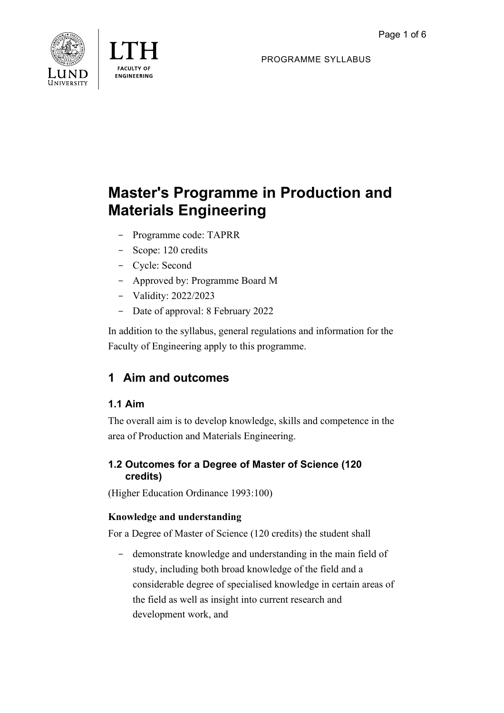



PROGRAMME SYLLABUS

# **Master's Programme in Production and Materials Engineering**

- Programme code: TAPRR
- Scope: 120 credits
- Cycle: Second
- Approved by: Programme Board M
- Validity: 2022/2023
- Date of approval: 8 February 2022

In addition to the syllabus, general regulations and information for the Faculty of Engineering apply to this programme.

## **1 Aim and outcomes**

## **1.1 Aim**

The overall aim is to develop knowledge, skills and competence in the area of Production and Materials Engineering.

## **1.2 Outcomes for a Degree of Master of Science (120 credits)**

(Higher Education Ordinance 1993:100)

## **Knowledge and understanding**

For a Degree of Master of Science (120 credits) the student shall

- demonstrate knowledge and understanding in the main field of study, including both broad knowledge of the field and a considerable degree of specialised knowledge in certain areas of the field as well as insight into current research and development work, and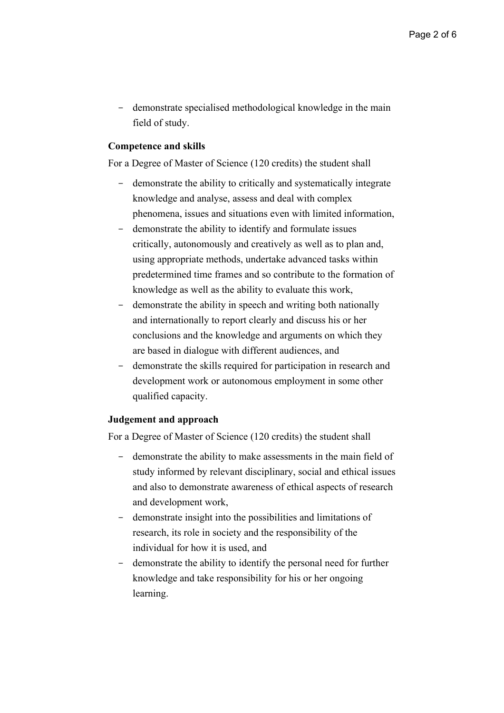- demonstrate specialised methodological knowledge in the main field of study.

#### **Competence and skills**

For a Degree of Master of Science (120 credits) the student shall

- demonstrate the ability to critically and systematically integrate knowledge and analyse, assess and deal with complex phenomena, issues and situations even with limited information,
- demonstrate the ability to identify and formulate issues critically, autonomously and creatively as well as to plan and, using appropriate methods, undertake advanced tasks within predetermined time frames and so contribute to the formation of knowledge as well as the ability to evaluate this work,
- demonstrate the ability in speech and writing both nationally and internationally to report clearly and discuss his or her conclusions and the knowledge and arguments on which they are based in dialogue with different audiences, and
- demonstrate the skills required for participation in research and development work or autonomous employment in some other qualified capacity.

#### **Judgement and approach**

For a Degree of Master of Science (120 credits) the student shall

- demonstrate the ability to make assessments in the main field of study informed by relevant disciplinary, social and ethical issues and also to demonstrate awareness of ethical aspects of research and development work,
- demonstrate insight into the possibilities and limitations of research, its role in society and the responsibility of the individual for how it is used, and
- demonstrate the ability to identify the personal need for further knowledge and take responsibility for his or her ongoing learning.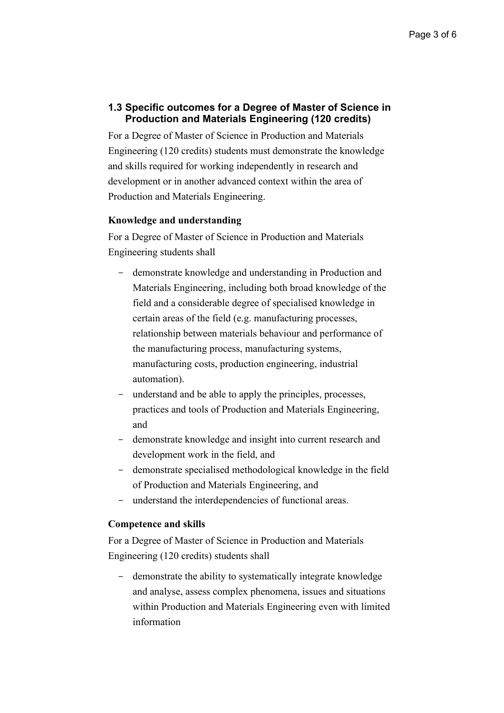#### **1.3 Specific outcomes for a Degree of Master of Science in Production and Materials Engineering (120 credits)**

For a Degree of Master of Science in Production and Materials Engineering (120 credits) students must demonstrate the knowledge and skills required for working independently in research and development or in another advanced context within the area of Production and Materials Engineering.

#### **Knowledge and understanding**

For a Degree of Master of Science in Production and Materials Engineering students shall

- demonstrate knowledge and understanding in Production and Materials Engineering, including both broad knowledge of the field and a considerable degree of specialised knowledge in certain areas of the field (e.g. manufacturing processes, relationship between materials behaviour and performance of the manufacturing process, manufacturing systems, manufacturing costs, production engineering, industrial automation).
- understand and be able to apply the principles, processes, practices and tools of Production and Materials Engineering, and
- demonstrate knowledge and insight into current research and development work in the field, and
- demonstrate specialised methodological knowledge in the field of Production and Materials Engineering, and
- understand the interdependencies of functional areas.

#### **Competence and skills**

For a Degree of Master of Science in Production and Materials Engineering (120 credits) students shall

demonstrate the ability to systematically integrate knowledge and analyse, assess complex phenomena, issues and situations within Production and Materials Engineering even with limited information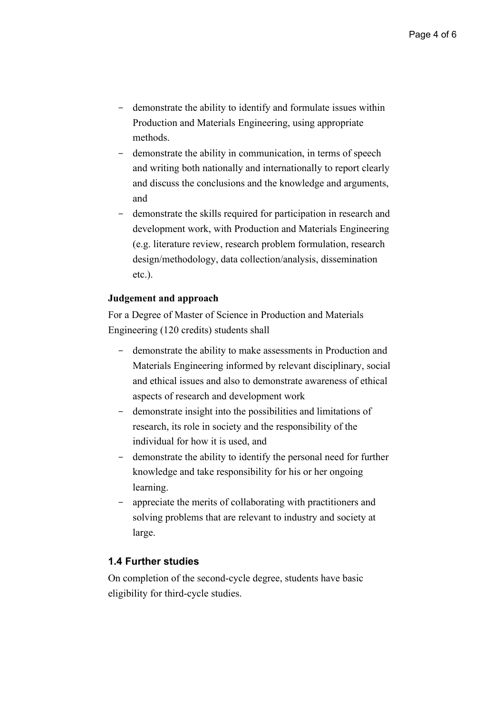- demonstrate the ability to identify and formulate issues within Production and Materials Engineering, using appropriate methods.
- demonstrate the ability in communication, in terms of speech and writing both nationally and internationally to report clearly and discuss the conclusions and the knowledge and arguments, and
- demonstrate the skills required for participation in research and development work, with Production and Materials Engineering (e.g. literature review, research problem formulation, research design/methodology, data collection/analysis, dissemination etc.).

#### **Judgement and approach**

For a Degree of Master of Science in Production and Materials Engineering (120 credits) students shall

- demonstrate the ability to make assessments in Production and Materials Engineering informed by relevant disciplinary, social and ethical issues and also to demonstrate awareness of ethical aspects of research and development work
- demonstrate insight into the possibilities and limitations of research, its role in society and the responsibility of the individual for how it is used, and
- demonstrate the ability to identify the personal need for further knowledge and take responsibility for his or her ongoing learning.
- appreciate the merits of collaborating with practitioners and solving problems that are relevant to industry and society at large.

#### **1.4 Further studies**

On completion of the second-cycle degree, students have basic eligibility for third-cycle studies.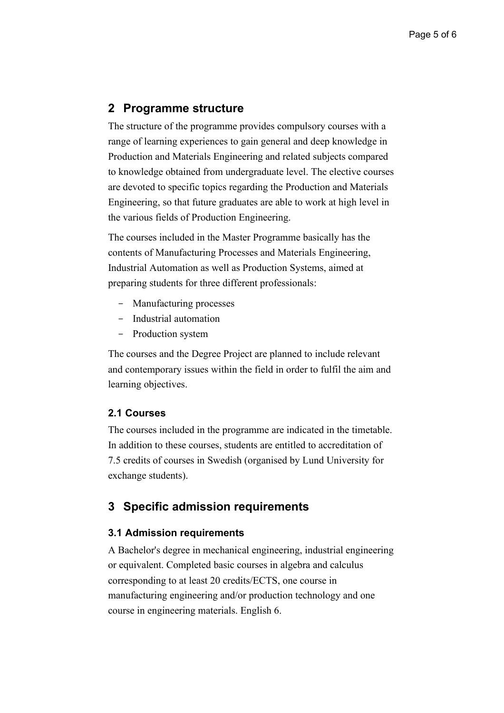## **2 Programme structure**

The structure of the programme provides compulsory courses with a range of learning experiences to gain general and deep knowledge in Production and Materials Engineering and related subjects compared to knowledge obtained from undergraduate level. The elective courses are devoted to specific topics regarding the Production and Materials Engineering, so that future graduates are able to work at high level in the various fields of Production Engineering.

The courses included in the Master Programme basically has the contents of Manufacturing Processes and Materials Engineering, Industrial Automation as well as Production Systems, aimed at preparing students for three different professionals:

- Manufacturing processes
- Industrial automation
- Production system

The courses and the Degree Project are planned to include relevant and contemporary issues within the field in order to fulfil the aim and learning objectives.

#### **2.1 Courses**

The courses included in the programme are indicated in the timetable. In addition to these courses, students are entitled to accreditation of 7.5 credits of courses in Swedish (organised by Lund University for exchange students).

## **3 Specific admission requirements**

#### **3.1 Admission requirements**

A Bachelor's degree in mechanical engineering, industrial engineering or equivalent. Completed basic courses in algebra and calculus corresponding to at least 20 credits/ECTS, one course in manufacturing engineering and/or production technology and one course in engineering materials. English 6.